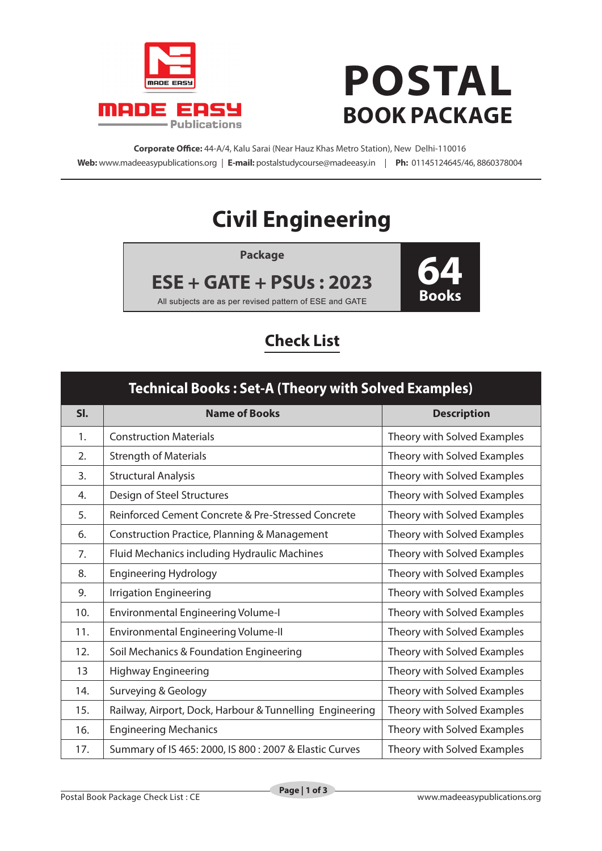

## **POSTAL BOOK PACKAGE**

**Corporate Office:** 44-A/4, Kalu Sarai (Near Hauz Khas Metro Station), New Delhi-110016 **Web:** www.madeeasypublications.org | **E-mail:** postalstudycourse@madeeasy.in | **Ph:** 01145124645/46, 8860378004

## **Civil Engineering**

**Package**

**ESE + GATE + PSUs : 2023**



All subjects are as per revised pattern of ESE and GATE

## **Check List**

| <b>Technical Books: Set-A (Theory with Solved Examples)</b> |                                                          |                             |  |  |
|-------------------------------------------------------------|----------------------------------------------------------|-----------------------------|--|--|
| SI.                                                         | <b>Name of Books</b>                                     | <b>Description</b>          |  |  |
| 1.                                                          | <b>Construction Materials</b>                            | Theory with Solved Examples |  |  |
| 2.                                                          | <b>Strength of Materials</b>                             | Theory with Solved Examples |  |  |
| 3.                                                          | <b>Structural Analysis</b>                               | Theory with Solved Examples |  |  |
| 4.                                                          | Design of Steel Structures                               | Theory with Solved Examples |  |  |
| 5.                                                          | Reinforced Cement Concrete & Pre-Stressed Concrete       | Theory with Solved Examples |  |  |
| 6.                                                          | Construction Practice, Planning & Management             | Theory with Solved Examples |  |  |
| 7.                                                          | Fluid Mechanics including Hydraulic Machines             | Theory with Solved Examples |  |  |
| 8.                                                          | <b>Engineering Hydrology</b>                             | Theory with Solved Examples |  |  |
| 9.                                                          | <b>Irrigation Engineering</b>                            | Theory with Solved Examples |  |  |
| 10.                                                         | <b>Environmental Engineering Volume-I</b>                | Theory with Solved Examples |  |  |
| 11.                                                         | <b>Environmental Engineering Volume-II</b>               | Theory with Solved Examples |  |  |
| 12.                                                         | Soil Mechanics & Foundation Engineering                  | Theory with Solved Examples |  |  |
| 13                                                          | <b>Highway Engineering</b>                               | Theory with Solved Examples |  |  |
| 14.                                                         | Surveying & Geology                                      | Theory with Solved Examples |  |  |
| 15.                                                         | Railway, Airport, Dock, Harbour & Tunnelling Engineering | Theory with Solved Examples |  |  |
| 16.                                                         | <b>Engineering Mechanics</b>                             | Theory with Solved Examples |  |  |
| 17.                                                         | Summary of IS 465: 2000, IS 800: 2007 & Elastic Curves   | Theory with Solved Examples |  |  |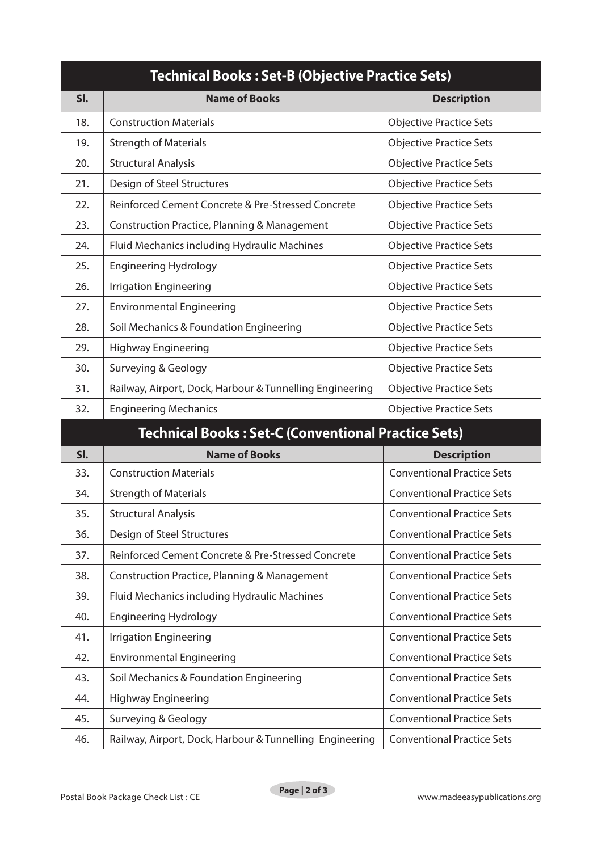| <b>Technical Books: Set-B (Objective Practice Sets)</b> |                                                            |                                   |  |  |
|---------------------------------------------------------|------------------------------------------------------------|-----------------------------------|--|--|
| SI.                                                     | <b>Name of Books</b>                                       | <b>Description</b>                |  |  |
| 18.                                                     | <b>Construction Materials</b>                              | <b>Objective Practice Sets</b>    |  |  |
| 19.                                                     | <b>Strength of Materials</b>                               | <b>Objective Practice Sets</b>    |  |  |
| 20.                                                     | <b>Structural Analysis</b>                                 | <b>Objective Practice Sets</b>    |  |  |
| 21.                                                     | Design of Steel Structures                                 | <b>Objective Practice Sets</b>    |  |  |
| 22.                                                     | Reinforced Cement Concrete & Pre-Stressed Concrete         | <b>Objective Practice Sets</b>    |  |  |
| 23.                                                     | Construction Practice, Planning & Management               | <b>Objective Practice Sets</b>    |  |  |
| 24.                                                     | Fluid Mechanics including Hydraulic Machines               | <b>Objective Practice Sets</b>    |  |  |
| 25.                                                     | <b>Engineering Hydrology</b>                               | <b>Objective Practice Sets</b>    |  |  |
| 26.                                                     | <b>Irrigation Engineering</b>                              | <b>Objective Practice Sets</b>    |  |  |
| 27.                                                     | <b>Environmental Engineering</b>                           | <b>Objective Practice Sets</b>    |  |  |
| 28.                                                     | Soil Mechanics & Foundation Engineering                    | <b>Objective Practice Sets</b>    |  |  |
| 29.                                                     | <b>Highway Engineering</b>                                 | <b>Objective Practice Sets</b>    |  |  |
| 30.                                                     | Surveying & Geology                                        | <b>Objective Practice Sets</b>    |  |  |
| 31.                                                     | Railway, Airport, Dock, Harbour & Tunnelling Engineering   | <b>Objective Practice Sets</b>    |  |  |
| 32.                                                     | <b>Engineering Mechanics</b>                               | <b>Objective Practice Sets</b>    |  |  |
|                                                         | <b>Technical Books: Set-C (Conventional Practice Sets)</b> |                                   |  |  |
| SI.                                                     | <b>Name of Books</b>                                       | <b>Description</b>                |  |  |
| 33.                                                     | <b>Construction Materials</b>                              | <b>Conventional Practice Sets</b> |  |  |
| 34.                                                     | <b>Strength of Materials</b>                               | <b>Conventional Practice Sets</b> |  |  |
| 35.                                                     | <b>Structural Analysis</b>                                 | <b>Conventional Practice Sets</b> |  |  |
| 36.                                                     | Design of Steel Structures                                 | <b>Conventional Practice Sets</b> |  |  |
| 37.                                                     | Reinforced Cement Concrete & Pre-Stressed Concrete         | <b>Conventional Practice Sets</b> |  |  |
| 38.                                                     | <b>Construction Practice, Planning &amp; Management</b>    | <b>Conventional Practice Sets</b> |  |  |
| 39.                                                     | Fluid Mechanics including Hydraulic Machines               | <b>Conventional Practice Sets</b> |  |  |
| 40.                                                     | <b>Engineering Hydrology</b>                               | <b>Conventional Practice Sets</b> |  |  |
| 41.                                                     | <b>Irrigation Engineering</b>                              | <b>Conventional Practice Sets</b> |  |  |
| 42.                                                     | <b>Environmental Engineering</b>                           | <b>Conventional Practice Sets</b> |  |  |
| 43.                                                     | Soil Mechanics & Foundation Engineering                    | <b>Conventional Practice Sets</b> |  |  |
| 44.                                                     | <b>Highway Engineering</b>                                 | <b>Conventional Practice Sets</b> |  |  |
| 45.                                                     | <b>Surveying &amp; Geology</b>                             | <b>Conventional Practice Sets</b> |  |  |
| 46.                                                     | Railway, Airport, Dock, Harbour & Tunnelling Engineering   | <b>Conventional Practice Sets</b> |  |  |